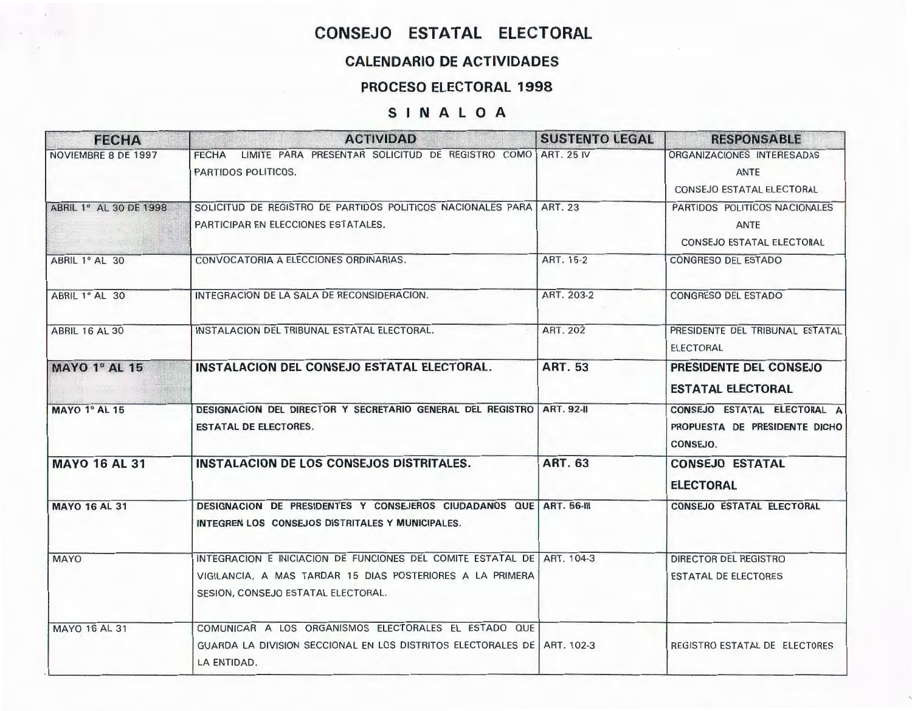## CONSEJO ESTATAL ELECTORAL

### CALENDARIO DE ACTIVIDADES

#### PROCESO ELECTORAL 1998

#### SINALOA

| <b>FECHA</b>                  | <b>ACTIVIDAD</b>                                                                                                                                                          | <b>SUSTENTO LEGAL</b> | <b>RESPONSABLE</b>                                                               |
|-------------------------------|---------------------------------------------------------------------------------------------------------------------------------------------------------------------------|-----------------------|----------------------------------------------------------------------------------|
| NOVIEMBRE 8 DE 1997           | FECHA LIMITE PARA PRESENTAR SOLICITUD DE REGISTRO COMO ART. 25 IV<br>PARTIDOS POLITICOS.                                                                                  |                       | ORGANIZACIONES INTERESADAS<br>ANTE<br>CONSEJO ESTATAL ELECTORAL                  |
| <b>ABRIL 1° AL 30 DE 1998</b> | SOLICITUD DE REGISTRO DE PARTIDOS POLITICOS NACIONALES PARA   ART. 23<br>PARTICIPAR EN ELECCIONES ESTATALES.                                                              |                       | PARTIDOS POLITICOS NACIONALES<br><b>ANTE</b><br><b>CONSEJO ESTATAL ELECTORAL</b> |
| ABRIL 1º AL 30                | CONVOCATORIA A ELECCIONES ORDINARIAS.                                                                                                                                     | ART. 15-2             | CONGRESO DEL ESTADO                                                              |
| ABRIL 1º AL 30                | INTEGRACION DE LA SALA DE RECONSIDERACION.                                                                                                                                | ART. 203-2            | CONGRESO DEL ESTADO                                                              |
| <b>ABRIL 16 AL 30</b>         | INSTALACION DEL TRIBUNAL ESTATAL ELECTORAL.                                                                                                                               | <b>ART. 202</b>       | PRESIDENTE DEL TRIBUNAL ESTATAL<br><b>ELECTORAL</b>                              |
| <b>MAYO 1º AL 15</b>          | INSTALACION DEL CONSEJO ESTATAL ELECTORAL.                                                                                                                                | <b>ART. 53</b>        | PRESIDENTE DEL CONSEJO<br><b>ESTATAL ELECTORAL</b>                               |
| <b>MAYO 1º AL 15</b>          | DESIGNACION DEL DIRECTOR Y SECRETARIO GENERAL DEL REGISTRO ART. 92-II<br><b>ESTATAL DE ELECTORES.</b>                                                                     |                       | CONSEJO ESTATAL ELECTORAL A<br>PROPUESTA DE PRESIDENTE DICHO<br>CONSEJO.         |
| <b>MAYO 16 AL 31</b>          | INSTALACION DE LOS CONSEJOS DISTRITALES.                                                                                                                                  | <b>ART. 63</b>        | <b>CONSEJO ESTATAL</b><br><b>ELECTORAL</b>                                       |
| <b>MAYO 16 AL 31</b>          | DESIGNACION DE PRESIDENTES Y CONSEJEROS CIUDADANOS QUE ART. 56-III<br>INTEGREN LOS CONSEJOS DISTRITALES Y MUNICIPALES.                                                    |                       | <b>CONSEJO ESTATAL ELECTORAL</b>                                                 |
| <b>MAYO</b>                   | INTEGRACION E INICIACION DE FUNCIONES DEL COMITE ESTATAL DE ART. 104-3<br>VIGILANCIA, A MAS TARDAR 15 DIAS POSTERIORES A LA PRIMERA<br>SESION, CONSEJO ESTATAL ELECTORAL. |                       | DIRECTOR DEL REGISTRO<br><b>ESTATAL DE ELECTORES</b>                             |
| <b>MAYO 16 AL 31</b>          | COMUNICAR A LOS ORGANISMOS ELECTORALES EL ESTADO QUE<br>GUARDA LA DIVISION SECCIONAL EN LOS DISTRITOS ELECTORALES DE   ART. 102-3<br>LA ENTIDAD.                          |                       | REGISTRO ESTATAL DE ELECTORES                                                    |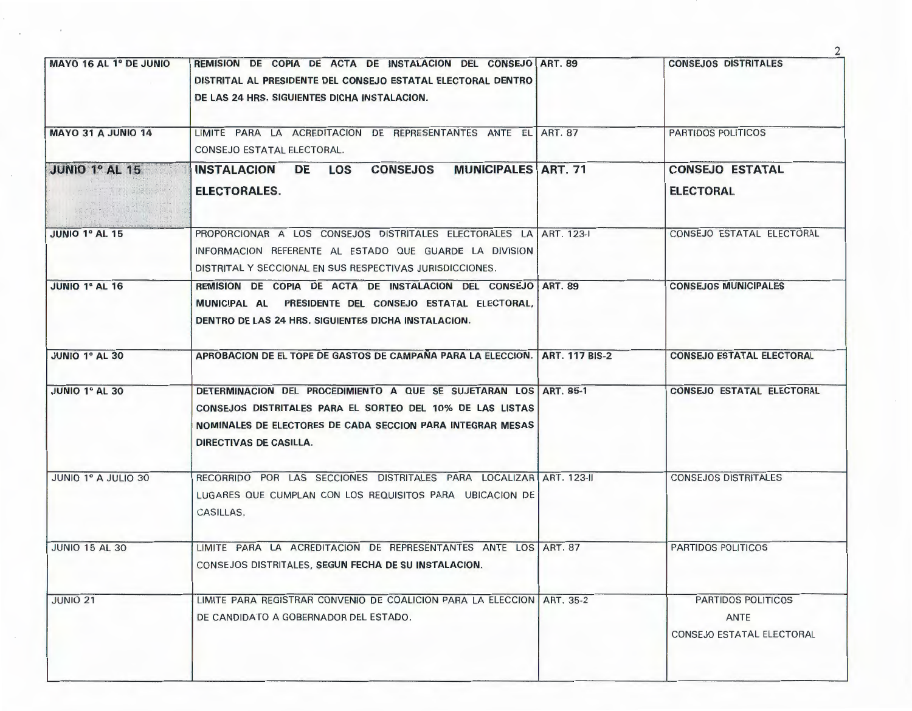| MAYO 16 AL 1º DE JUNIO | REMISION DE COPIA DE ACTA DE INSTALACION DEL CONSEJO ART. 89<br>DISTRITAL AL PRESIDENTE DEL CONSEJO ESTATAL ELECTORAL DENTRO<br>DE LAS 24 HRS. SIGUIENTES DICHA INSTALACION.                                          | <b>CONSEJOS DISTRITALES</b>                             |
|------------------------|-----------------------------------------------------------------------------------------------------------------------------------------------------------------------------------------------------------------------|---------------------------------------------------------|
| MAYO 31 A JUNIO 14     | LIMITE PARA LA ACREDITACION DE REPRESENTANTES ANTE EL ART. 87<br>CONSEJO ESTATAL ELECTORAL.                                                                                                                           | <b>PARTIDOS POLITICOS</b>                               |
| JUNIO 1º AL 15         | <b>MUNICIPALES ART. 71</b><br><b>CONSEJOS</b><br>INSTALACION DE LOS<br>ELECTORALES.                                                                                                                                   | <b>CONSEJO ESTATAL</b><br><b>ELECTORAL</b>              |
| JUNIO 1º AL 15         | PROPORCIONAR A LOS CONSEJOS DISTRITALES ELECTORALES LA ART. 123-1<br>INFORMACION REFERENTE AL ESTADO QUE GUARDE LA DIVISION<br>DISTRITAL Y SECCIONAL EN SUS RESPECTIVAS JURISDICCIONES.                               | CONSEJO ESTATAL ELECTORAL                               |
| JUNIO 1º AL 16         | REMISION DE COPIA DE ACTA DE INSTALACION DEL CONSEJO ART. 89<br>MUNICIPAL AL PRESIDENTE DEL CONSEJO ESTATAL ELECTORAL,<br>DENTRO DE LAS 24 HRS. SIGUIENTES DICHA INSTALACION.                                         | <b>CONSEJOS MUNICIPALES</b>                             |
| <b>JUNIO 1º AL 30</b>  | APROBACION DE EL TOPE DE GASTOS DE CAMPAÑA PARA LA ELECCION.   ART. 117 BIS-2                                                                                                                                         | <b>CONSEJO ESTATAL ELECTORAL</b>                        |
| <b>JUNIO 1º AL 30</b>  | DETERMINACION DEL PROCEDIMIENTO A QUE SE SUJETARAN LOS ART. 85-1<br>CONSEJOS DISTRITALES PARA EL SORTEO DEL 10% DE LAS LISTAS<br>NOMINALES DE ELECTORES DE CADA SECCION PARA INTEGRAR MESAS<br>DIRECTIVAS DE CASILLA. | <b>CONSEJO ESTATAL ELECTORAL</b>                        |
| JUNIO 1º A JULIO 30    | RECORRIDO POR LAS SECCIONES DISTRITALES PARA LOCALIZAR ART. 123-II<br>LUGARES QUE CUMPLAN CON LOS REQUISITOS PARA UBICACION DE<br>CASILLAS.                                                                           | <b>CONSEJOS DISTRITALES</b>                             |
| <b>JUNIO 15 AL 30</b>  | LIMITE PARA LA ACREDITACION DE REPRESENTANTES ANTE LOS ART. 87<br>CONSEJOS DISTRITALES, SEGUN FECHA DE SU INSTALACION.                                                                                                | <b>PARTIDOS POLITICOS</b>                               |
| <b>JUNIO 21</b>        | LIMITE PARA REGISTRAR CONVENIO DE COALICION PARA LA ELECCION   ART. 35-2<br>DE CANDIDATO A GOBERNADOR DEL ESTADO.                                                                                                     | PARTIDOS POLITICOS<br>ANTE<br>CONSEJO ESTATAL ELECTORAL |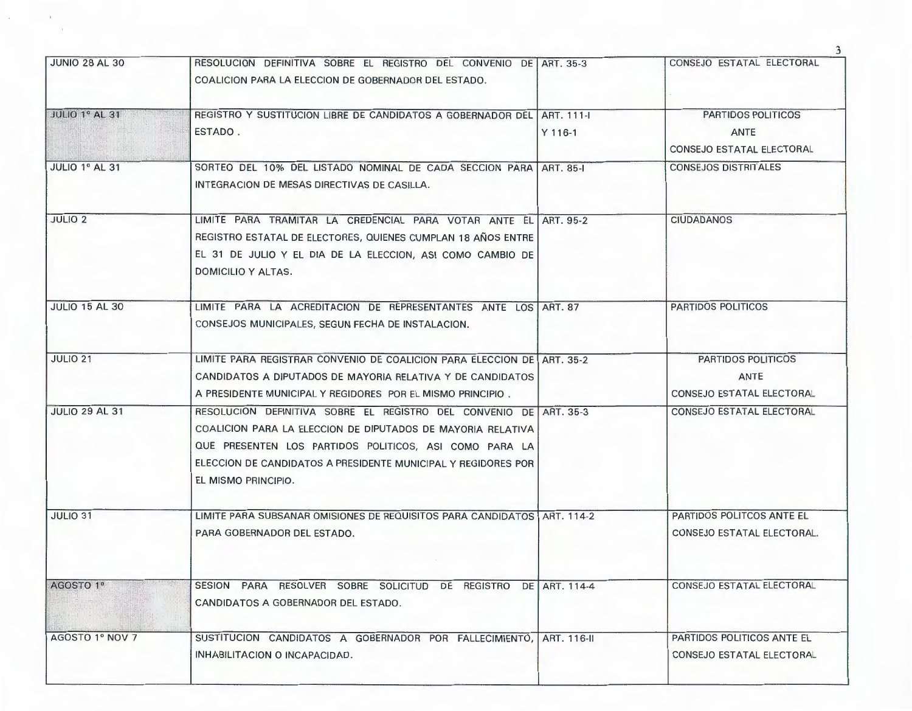| <b>JUNIO 28 AL 30</b> | RESOLUCION DEFINITIVA SOBRE EL REGISTRO DEL CONVENIO DE LART 35-3                    |           | CONSEJO ESTATAL ELECTORAL   |
|-----------------------|--------------------------------------------------------------------------------------|-----------|-----------------------------|
|                       | COALICION PARA LA ELECCION DE GOBERNADOR DEL ESTADO.                                 |           |                             |
| <b>JULIO 1º AL 31</b> | REGISTRO Y SUSTITUCION LIBRE DE CANDIDATOS A GOBERNADOR DEL ART. 111-                |           | PARTIDOS POLITICOS          |
|                       | ESTADO.                                                                              | $Y$ 116-1 | <b>ANTE</b>                 |
|                       |                                                                                      |           | CONSEJO ESTATAL ELECTORAL   |
| JULIO 1º AL 31        | SORTEO DEL 10% DEL LISTADO NOMINAL DE CADA SECCION PARA ART. 85-1                    |           | <b>CONSEJOS DISTRITALES</b> |
|                       | INTEGRACION DE MESAS DIRECTIVAS DE CASILLA.                                          |           |                             |
| <b>JULIO 2</b>        | LIMITE PARA TRAMITAR LA CREDENCIAL PARA VOTAR ANTE EL ART. 95-2                      |           | <b>CIUDADANOS</b>           |
|                       | REGISTRO ESTATAL DE ELECTORES, QUIENES CUMPLAN 18 AÑOS ENTRE                         |           |                             |
|                       | EL 31 DE JULIO Y EL DIA DE LA ELECCION, ASI COMO CAMBIO DE                           |           |                             |
|                       | DOMICILIO Y ALTAS.                                                                   |           |                             |
| <b>JULIO 15 AL 30</b> | LIMITE PARA LA ACREDITACION DE REPRESENTANTES ANTE LOS ART. 87                       |           | PARTIDOS POLITICOS          |
|                       | CONSEJOS MUNICIPALES, SEGUN FECHA DE INSTALACION.                                    |           |                             |
| <b>JULIO 21</b>       | LIMITE PARA REGISTRAR CONVENIO DE COALICION PARA ELECCION DE ART. 35-2               |           | <b>PARTIDOS POLITICOS</b>   |
|                       | CANDIDATOS A DIPUTADOS DE MAYORIA RELATIVA Y DE CANDIDATOS                           |           | ANTE                        |
|                       | A PRESIDENTE MUNICIPAL Y REGIDORES POR EL MISMO PRINCIPIO.                           |           | CONSEJO ESTATAL ELECTORAL   |
| <b>JULIO 29 AL 31</b> | RESOLUCION DEFINITIVA SOBRE EL REGISTRO DEL CONVENIO DE ART. 35-3                    |           | CONSEJO ESTATAL ELECTORAL   |
|                       | COALICION PARA LA ELECCION DE DIPUTADOS DE MAYORIA RELATIVA                          |           |                             |
|                       | QUE PRESENTEN LOS PARTIDOS POLITICOS, ASI COMO PARA LA                               |           |                             |
|                       | ELECCION DE CANDIDATOS A PRESIDENTE MUNICIPAL Y REGIDORES POR<br>EL MISMO PRINCIPIO. |           |                             |
|                       |                                                                                      |           |                             |
| <b>JULIO 31</b>       | LIMITE PARA SUBSANAR OMISIONES DE REQUISITOS PARA CANDIDATOS   ART. 114-2            |           | PARTIDOS POLITCOS ANTE EL   |
|                       | PARA GOBERNADOR DEL ESTADO.                                                          |           | CONSEJO ESTATAL ELECTORAL.  |
|                       |                                                                                      |           |                             |
| AGOSTO 1º             | SESION PARA RESOLVER SOBRE SOLICITUD DE REGISTRO DE ART. 114-4                       |           | CONSEJO ESTATAL ELECTORAL   |
|                       | CANDIDATOS A GOBERNADOR DEL ESTADO.                                                  |           |                             |
|                       | SUSTITUCION CANDIDATOS A GOBERNADOR POR FALLECIMIENTO, ART. 116-II                   |           | PARTIDOS POLITICOS ANTE EL  |
| AGOSTO 1º NOV 7       |                                                                                      |           |                             |

 $\pm$ 

 $\epsilon$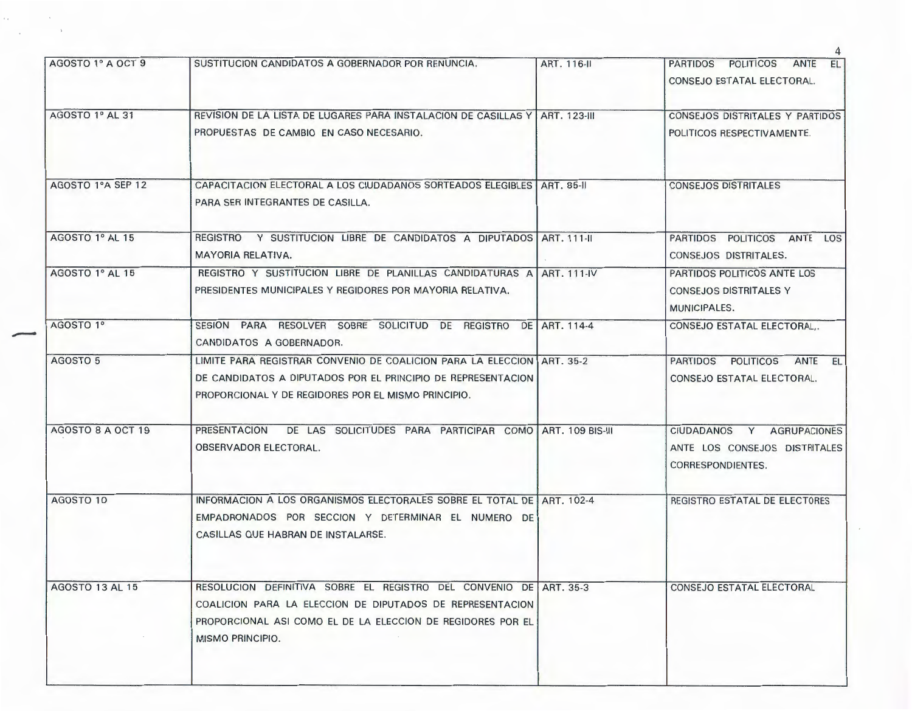| AGOSTO 1º A OCT 9 | SUSTITUCION CANDIDATOS A GOBERNADOR POR RENUNCIA.                                                                                                                                                                 | ART. 116-II | PARTIDOS POLITICOS ANTE EL<br>CONSEJO ESTATAL ELECTORAL.                                  |
|-------------------|-------------------------------------------------------------------------------------------------------------------------------------------------------------------------------------------------------------------|-------------|-------------------------------------------------------------------------------------------|
| AGOSTO 1º AL 31   | REVISION DE LA LISTA DE LUGARES PARA INSTALACION DE CASILLAS Y LART, 123-III<br>PROPUESTAS DE CAMBIO EN CASO NECESARIO.                                                                                           |             | CONSEJOS DISTRITALES Y PARTIDOS<br>POLITICOS RESPECTIVAMENTE.                             |
| AGOSTO 1ºA SEP 12 | CAPACITACION ELECTORAL A LOS CIUDADANOS SORTEADOS ELEGIBLES ART. 85-II<br>PARA SER INTEGRANTES DE CASILLA.                                                                                                        |             | <b>CONSEJOS DISTRITALES</b>                                                               |
| AGOSTO 1º AL 15   | REGISTRO Y SUSTITUCION LIBRE DE CANDIDATOS A DIPUTADOS ART, 111-II<br>MAYORIA RELATIVA.                                                                                                                           |             | PARTIDOS POLITICOS ANTE LOS<br>CONSEJOS DISTRITALES.                                      |
| AGOSTO 1º AL 15   | REGISTRO Y SUSTITUCION LIBRE DE PLANILLAS CANDIDATURAS A ART. 111-IV<br>PRESIDENTES MUNICIPALES Y REGIDORES POR MAYORIA RELATIVA.                                                                                 |             | PARTIDOS POLITICOS ANTE LOS<br><b>CONSEJOS DISTRITALES Y</b><br>MUNICIPALES.              |
| AGOSTO 1º         | SESION PARA RESOLVER SOBRE SOLICITUD DE REGISTRO DE ART. 114-4<br>CANDIDATOS A GOBERNADOR.                                                                                                                        |             | CONSEJO ESTATAL ELECTORAL,.                                                               |
| AGOSTO 5          | LIMITE PARA REGISTRAR CONVENIO DE COALICION PARA LA ELECCION ART. 35-2<br>DE CANDIDATOS A DIPUTADOS POR EL PRINCIPIO DE REPRESENTACION<br>PROPORCIONAL Y DE REGIDORES POR EL MISMO PRINCIPIO.                     |             | PARTIDOS POLITICOS<br>ANTE EL<br>CONSEJO ESTATAL ELECTORAL.                               |
| AGOSTO 8 A OCT 19 | <b>PRESENTACION</b><br>DE LAS SOLICITUDES PARA PARTICIPAR COMO ART, 109 BIS-III<br>OBSERVADOR ELECTORAL.                                                                                                          |             | <b>AGRUPACIONES</b><br>CIUDADANOS Y<br>ANTE LOS CONSEJOS DISTRITALES<br>CORRESPONDIENTES. |
| AGOSTO 10         | INFORMACION A LOS ORGANISMOS ELECTORALES SOBRE EL TOTAL DE ART. 102-4<br>EMPADRONADOS POR SECCION Y DETERMINAR EL NUMERO DE<br>CASILLAS QUE HABRAN DE INSTALARSE.                                                 |             | REGISTRO ESTATAL DE ELECTORES                                                             |
| AGOSTO 13 AL 15   | RESOLUCION DEFINITIVA SOBRE EL REGISTRO DEL CONVENIO DE ART. 35-3<br>COALICION PARA LA ELECCION DE DIPUTADOS DE REPRESENTACION<br>PROPORCIONAL ASI COMO EL DE LA ELECCION DE REGIDORES POR EL<br>MISMO PRINCIPIO. |             | CONSEJO ESTATAL ELECTORAL                                                                 |

-

 $\mathbb{E}_{\mathcal{A}}$ 

 $\overline{A}$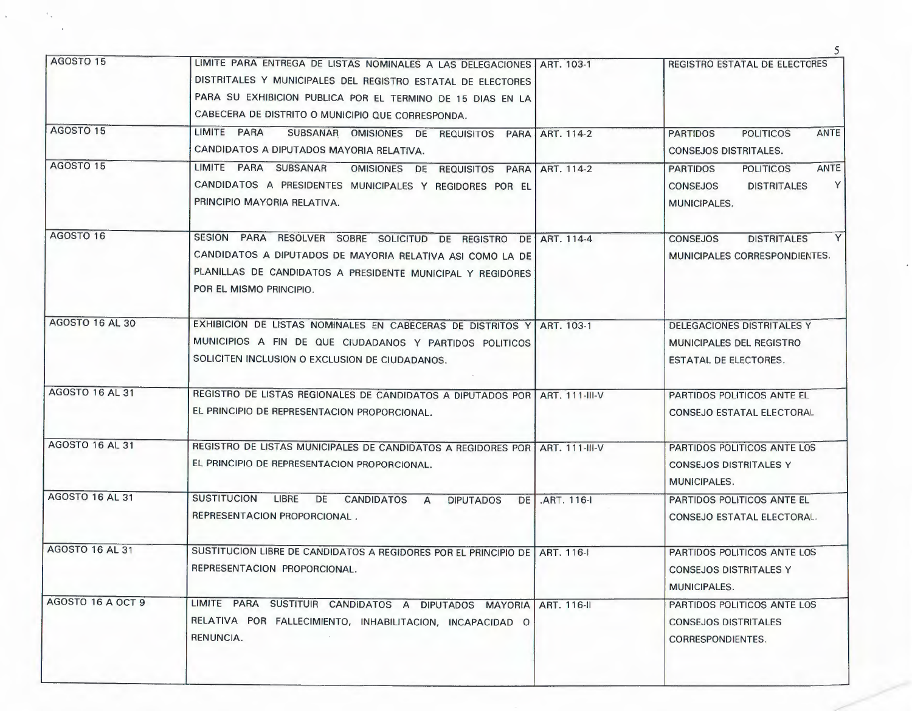|                        |                                                                                                                                                                                                                                                         |                | 5                                                                                                         |
|------------------------|---------------------------------------------------------------------------------------------------------------------------------------------------------------------------------------------------------------------------------------------------------|----------------|-----------------------------------------------------------------------------------------------------------|
| AGOSTO 15              | LIMITE PARA ENTREGA DE LISTAS NOMINALES A LAS DELEGACIONES ART. 103-1<br>DISTRITALES Y MUNICIPALES DEL REGISTRO ESTATAL DE ELECTORES<br>PARA SU EXHIBICION PUBLICA POR EL TERMINO DE 15 DIAS EN LA<br>CABECERA DE DISTRITO O MUNICIPIO QUE CORRESPONDA. |                | REGISTRO ESTATAL DE ELECTORES                                                                             |
| AGOSTO 15              | LIMITE PARA<br>SUBSANAR OMISIONES DE REQUISITOS PARA ART. 114-2<br>CANDIDATOS A DIPUTADOS MAYORIA RELATIVA.                                                                                                                                             |                | <b>ANTE</b><br><b>PARTIDOS</b><br><b>POLITICOS</b><br><b>CONSEJOS DISTRITALES.</b>                        |
| AGOSTO 15              | LIMITE PARA SUBSANAR<br>OMISIONES DE REQUISITOS PARA ART. 114-2<br>CANDIDATOS A PRESIDENTES MUNICIPALES Y REGIDORES POR EL<br>PRINCIPIO MAYORIA RELATIVA.                                                                                               |                | ANTE<br><b>PARTIDOS</b><br><b>POLITICOS</b><br>Y<br><b>CONSEJOS</b><br><b>DISTRITALES</b><br>MUNICIPALES. |
| AGOSTO 16              | SESION PARA RESOLVER SOBRE SOLICITUD DE REGISTRO DE ART. 114-4<br>CANDIDATOS A DIPUTADOS DE MAYORIA RELATIVA ASI COMO LA DE<br>PLANILLAS DE CANDIDATOS A PRESIDENTE MUNICIPAL Y REGIDORES<br>POR EL MISMO PRINCIPIO.                                    |                | Y<br><b>DISTRITALES</b><br><b>CONSEJOS</b><br>MUNICIPALES CORRESPONDIENTES.                               |
| AGOSTO 16 AL 30        | EXHIBICION DE LISTAS NOMINALES EN CABECERAS DE DISTRITOS Y ART. 103-1<br>MUNICIPIOS A FIN DE QUE CIUDADANOS Y PARTIDOS POLITICOS<br>SOLICITEN INCLUSION O EXCLUSION DE CIUDADANOS.                                                                      |                | DELEGACIONES DISTRITALES Y<br>MUNICIPALES DEL REGISTRO<br>ESTATAL DE ELECTORES.                           |
| AGOSTO 16 AL 31        | REGISTRO DE LISTAS REGIONALES DE CANDIDATOS A DIPUTADOS POR   ART. 111-III-V<br>EL PRINCIPIO DE REPRESENTACION PROPORCIONAL.                                                                                                                            |                | PARTIDOS POLITICOS ANTE EL<br>CONSEJO ESTATAL ELECTORAL                                                   |
| <b>AGOSTO 16 AL 31</b> | REGISTRO DE LISTAS MUNICIPALES DE CANDIDATOS A REGIDORES POR ART. 111-III-V<br>EL PRINCIPIO DE REPRESENTACION PROPORCIONAL.                                                                                                                             |                | PARTIDOS POLITICOS ANTE LOS<br><b>CONSEJOS DISTRITALES Y</b><br><b>MUNICIPALES.</b>                       |
| <b>AGOSTO 16 AL 31</b> | SUSTITUCION LIBRE DE CANDIDATOS A<br><b>DIPUTADOS</b><br>REPRESENTACION PROPORCIONAL.                                                                                                                                                                   | DE .ART. 116-1 | PARTIDOS POLITICOS ANTE EL<br>CONSEJO ESTATAL ELECTORAL.                                                  |
| <b>AGOSTO 16 AL 31</b> | SUSTITUCION LIBRE DE CANDIDATOS A REGIDORES POR EL PRINCIPIO DE ART. 116-1<br>REPRESENTACION PROPORCIONAL.                                                                                                                                              |                | PARTIDOS POLITICOS ANTE LOS<br><b>CONSEJOS DISTRITALES Y</b><br>MUNICIPALES.                              |
| AGOSTO 16 A OCT 9      | LIMITE PARA SUSTITUIR CANDIDATOS A DIPUTADOS MAYORIA ART. 116-11<br>RELATIVA POR FALLECIMIENTO, INHABILITACION, INCAPACIDAD O<br>RENUNCIA.                                                                                                              |                | PARTIDOS POLITICOS ANTE LOS<br><b>CONSEJOS DISTRITALES</b><br>CORRESPONDIENTES.                           |
|                        |                                                                                                                                                                                                                                                         |                |                                                                                                           |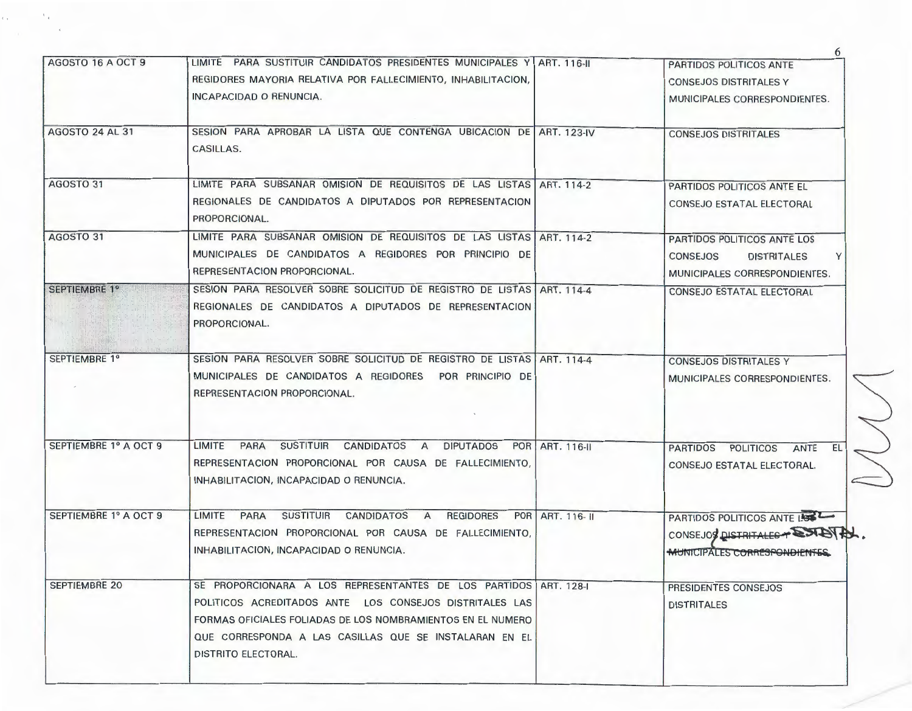| AGOSTO 16 A OCT 9      | LIMITE PARA SUSTITUIR CANDIDATOS PRESIDENTES MUNICIPALES Y ART. 116-II                                                                                                                                                                                                             |                 | PARTIDOS POLITICOS ANTE                                                                                    |
|------------------------|------------------------------------------------------------------------------------------------------------------------------------------------------------------------------------------------------------------------------------------------------------------------------------|-----------------|------------------------------------------------------------------------------------------------------------|
|                        | REGIDORES MAYORIA RELATIVA POR FALLECIMIENTO, INHABILITACION,                                                                                                                                                                                                                      |                 | <b>CONSEJOS DISTRITALES Y</b>                                                                              |
|                        | INCAPACIDAD O RENUNCIA.                                                                                                                                                                                                                                                            |                 | MUNICIPALES CORRESPONDIENTES.                                                                              |
| <b>AGOSTO 24 AL 31</b> | SESION PARA APROBAR LA LISTA QUE CONTENGA UBICACION DE ART. 123-IV<br>CASILLAS.                                                                                                                                                                                                    |                 | <b>CONSEJOS DISTRITALES</b>                                                                                |
| AGOSTO 31              | LIMITE PARA SUBSANAR OMISION DE REQUISITOS DE LAS LISTAS ART, 114-2<br>REGIONALES DE CANDIDATOS A DIPUTADOS POR REPRESENTACION<br>PROPORCIONAL.                                                                                                                                    |                 | PARTIDOS POLITICOS ANTE EL<br>CONSEJO ESTATAL ELECTORAL                                                    |
| AGOSTO 31              | LIMITE PARA SUBSANAR OMISION DE REQUISITOS DE LAS LISTAS ART. 114-2<br>MUNICIPALES DE CANDIDATOS A REGIDORES POR PRINCIPIO DE<br>REPRESENTACION PROPORCIONAL.                                                                                                                      |                 | PARTIDOS POLITICOS ANTE LOS<br><b>CONSEJOS</b><br><b>DISTRITALES</b><br>Y<br>MUNICIPALES CORRESPONDIENTES. |
| SEPTIEMBRE 1º          | SESION PARA RESOLVER SOBRE SOLICITUD DE REGISTRO DE LISTAS   ART. 114-4<br>REGIONALES DE CANDIDATOS A DIPUTADOS DE REPRESENTACION<br>PROPORCIONAL.                                                                                                                                 |                 | CONSEJO ESTATAL ELECTORAL                                                                                  |
| SEPTIEMBRE 1º          | SESION PARA RESOLVER SOBRE SOLICITUD DE REGISTRO DE LISTAS ART. 114-4<br>MUNICIPALES DE CANDIDATOS A REGIDORES POR PRINCIPIO DE<br>REPRESENTACION PROPORCIONAL.                                                                                                                    |                 | <b>CONSEJOS DISTRITALES Y</b><br>MUNICIPALES CORRESPONDIENTES.                                             |
| SEPTIEMBRE 1º A OCT 9  | LIMITE PARA SUSTITUIR CANDIDATOS A<br><b>DIPUTADOS</b><br>REPRESENTACION PROPORCIONAL POR CAUSA DE FALLECIMIENTO,<br>INHABILITACION, INCAPACIDAD O RENUNCIA.                                                                                                                       | POR ART. 116-II | PARTIDOS POLITICOS ANTE<br>EL I<br>CONSEJO ESTATAL ELECTORAL.<br>$\subset$                                 |
| SEPTIEMBRE 1º A OCT 9  | LIMITE PARA SUSTITUIR CANDIDATOS A<br><b>REGIDORES</b><br>REPRESENTACION PROPORCIONAL POR CAUSA DE FALLECIMIENTO,<br>INHABILITACION, INCAPACIDAD O RENUNCIA.                                                                                                                       | POR ART. 116-11 | PARTIDOS POLITICOS ANTE LOS<br>CONSEJOS DISTRITALES PORTENTS.<br><del>MU</del> NICIPALES CORRESPONDIENTES. |
| <b>SEPTIEMBRE 20</b>   | SE PROPORCIONARA A LOS REPRESENTANTES DE LOS PARTIDOS ART. 128-1<br>POLITICOS ACREDITADOS ANTE LOS CONSEJOS DISTRITALES LAS<br>FORMAS OFICIALES FOLIADAS DE LOS NOMBRAMIENTOS EN EL NUMERO<br>QUE CORRESPONDA A LAS CASILLAS QUE SE INSTALARAN EN EL<br><b>DISTRITO ELECTORAL.</b> |                 | PRESIDENTES CONSEJOS<br><b>DISTRITALES</b>                                                                 |
|                        |                                                                                                                                                                                                                                                                                    |                 |                                                                                                            |

6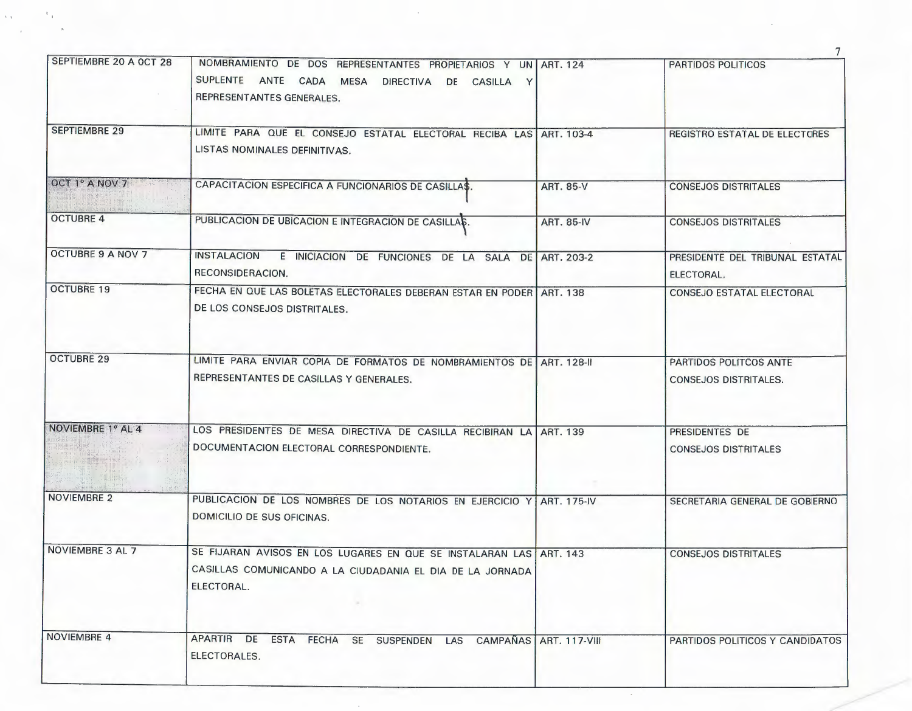|                          |                                                                                                                                                           |                          | 7                                                      |
|--------------------------|-----------------------------------------------------------------------------------------------------------------------------------------------------------|--------------------------|--------------------------------------------------------|
| SEPTIEMBRE 20 A OCT 28   | NOMBRAMIENTO DE DOS REPRESENTANTES PROPIETARIOS Y UN ART. 124<br>SUPLENTE ANTE CADA MESA<br><b>DIRECTIVA</b><br>DE CASILLA Y<br>REPRESENTANTES GENERALES. |                          | PARTIDOS POLITICOS                                     |
| <b>SEPTIEMBRE 29</b>     | LIMITE PARA QUE EL CONSEJO ESTATAL ELECTORAL RECIBA LAS ART. 103-4<br>LISTAS NOMINALES DEFINITIVAS.                                                       |                          | REGISTRO ESTATAL DE ELECTORES                          |
| OCT 1° A NOV 7           | CAPACITACION ESPECIFICA A FUNCIONARIOS DE CASILLA\$.                                                                                                      | ART. 85-V                | <b>CONSEJOS DISTRITALES</b>                            |
| <b>OCTUBRE 4</b>         | PUBLICACION DE UBICACION E INTEGRACION DE CASILLAS.                                                                                                       | <b>ART. 85-IV</b>        | <b>CONSEJOS DISTRITALES</b>                            |
| <b>OCTUBRE 9 A NOV 7</b> | <b>INSTALACION</b><br>E INICIACION DE FUNCIONES DE LA SALA DE ART. 203-2<br>RECONSIDERACION.                                                              |                          | PRESIDENTE DEL TRIBUNAL ESTATAL<br>ELECTORAL.          |
| <b>OCTUBRE 19</b>        | FECHA EN QUE LAS BOLETAS ELECTORALES DEBERAN ESTAR EN PODER   ART. 138<br>DE LOS CONSEJOS DISTRITALES.                                                    |                          | <b>CONSEJO ESTATAL ELECTORAL</b>                       |
| <b>OCTUBRE 29</b>        | LIMITE PARA ENVIAR COPIA DE FORMATOS DE NOMBRAMIENTOS DE ART. 128-II<br>REPRESENTANTES DE CASILLAS Y GENERALES.                                           |                          | PARTIDOS POLITCOS ANTE<br><b>CONSEJOS DISTRITALES.</b> |
| NOVIEMBRE 1º AL 4        | LOS PRESIDENTES DE MESA DIRECTIVA DE CASILLA RECIBIRAN LA ART. 139<br>DOCUMENTACION ELECTORAL CORRESPONDIENTE.                                            |                          | PRESIDENTES DE<br><b>CONSEJOS DISTRITALES</b>          |
| NOVIEMBRE 2              | PUBLICACION DE LOS NOMBRES DE LOS NOTARIOS EN EJERCICIO Y ART. 175-IV<br>DOMICILIO DE SUS OFICINAS.                                                       |                          | SECRETARIA GENERAL DE GOBIERNO                         |
| NOVIEMBRE 3 AL 7         | SE FIJARAN AVISOS EN LOS LUGARES EN QUE SE INSTALARAN LAS ART. 143<br>CASILLAS COMUNICANDO A LA CIUDADANIA EL DIA DE LA JORNADA<br>ELECTORAL.             |                          | <b>CONSEJOS DISTRITALES</b>                            |
| <b>NOVIEMBRE 4</b>       | <b>APARTIR</b><br>DE<br><b>ESTA</b><br>FECHA SE SUSPENDEN<br>LAS<br>ELECTORALES.                                                                          | CAMPAÑAS   ART. 117-VIII | PARTIDOS POLITICOS Y CANDIDATOS                        |

 $\sim$ 

 $\mathcal{K}_{\mathcal{A}^{\mathcal{A}}}$ 

 $\epsilon_{\rm eff}$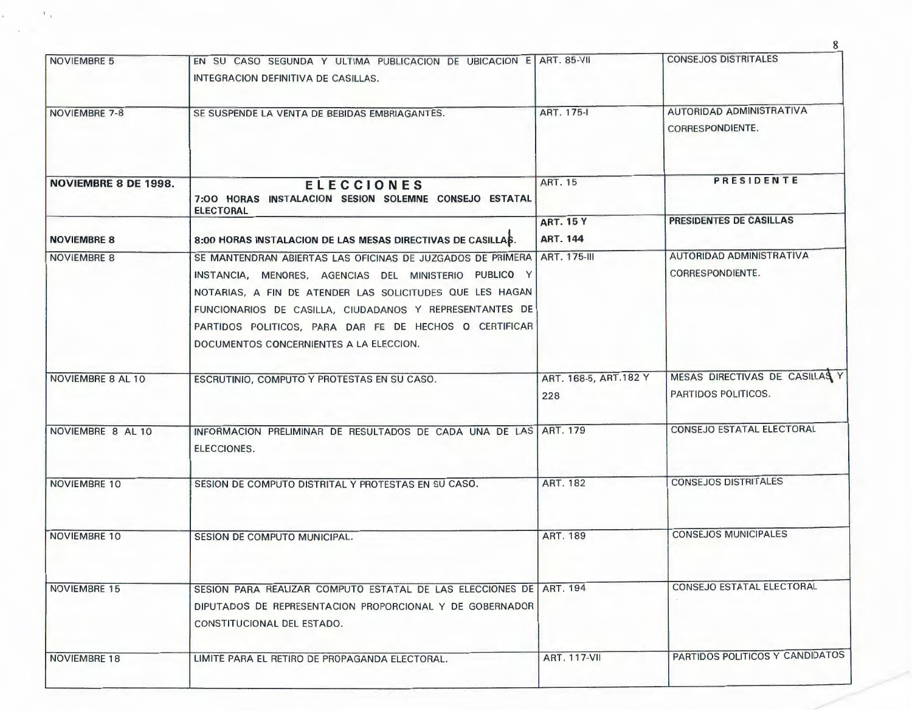| <b>NOVIEMBRE 5</b>          | EN SU CASO SEGUNDA Y ULTIMA PUBLICACION DE UBICACION E ART. 85-VII                                                                                                                                                                                                                                                                                           |                                     | <b>CONSEJOS DISTRITALES</b>                           |
|-----------------------------|--------------------------------------------------------------------------------------------------------------------------------------------------------------------------------------------------------------------------------------------------------------------------------------------------------------------------------------------------------------|-------------------------------------|-------------------------------------------------------|
|                             | INTEGRACION DEFINITIVA DE CASILLAS.                                                                                                                                                                                                                                                                                                                          |                                     |                                                       |
| NOVIEMBRE 7-8               | SE SUSPENDE LA VENTA DE BEBIDAS EMBRIAGANTES.                                                                                                                                                                                                                                                                                                                | ART. 175-I                          | AUTORIDAD ADMINISTRATIVA<br>CORRESPONDIENTE.          |
| <b>NOVIEMBRE 8 DE 1998.</b> | <b>ELECCIONES</b><br>7:00 HORAS INSTALACION SESION SOLEMNE CONSEJO ESTATAL<br><b>ELECTORAL</b>                                                                                                                                                                                                                                                               | <b>ART. 15</b>                      | PRESIDENTE                                            |
| <b>NOVIEMBRE 8</b>          | 8:00 HORAS INSTALACION DE LAS MESAS DIRECTIVAS DE CASILLAS.                                                                                                                                                                                                                                                                                                  | <b>ART. 15 Y</b><br><b>ART. 144</b> | PRESIDENTES DE CASILLAS                               |
| <b>NOVIEMBRE 8</b>          | SE MANTENDRAN ABIERTAS LAS OFICINAS DE JUZGADOS DE PRIMERA ART. 175-III<br>INSTANCIA, MENORES, AGENCIAS DEL MINISTERIO PUBLICO Y<br>NOTARIAS, A FIN DE ATENDER LAS SOLICITUDES QUE LES HAGAN<br>FUNCIONARIOS DE CASILLA, CIUDADANOS Y REPRESENTANTES DE<br>PARTIDOS POLITICOS, PARA DAR FE DE HECHOS O CERTIFICAR<br>DOCUMENTOS CONCERNIENTES A LA ELECCION. |                                     | AUTORIDAD ADMINISTRATIVA<br>CORRESPONDIENTE.          |
| NOVIEMBRE 8 AL 10           | ESCRUTINIO, COMPUTO Y PROTESTAS EN SU CASO.                                                                                                                                                                                                                                                                                                                  | ART. 168-5, ART. 182 Y<br>228       | MESAS DIRECTIVAS DE CASILLAS Y<br>PARTIDOS POLITICOS. |
| NOVIEMBRE 8 AL 10           | INFORMACION PRELIMINAR DE RESULTADOS DE CADA UNA DE LAS ART. 179<br>ELECCIONES.                                                                                                                                                                                                                                                                              |                                     | <b>CONSEJO ESTATAL ELECTORAL</b>                      |
| <b>NOVIEMBRE 10</b>         | SESION DE COMPUTO DISTRITAL Y PROTESTAS EN SU CASO.                                                                                                                                                                                                                                                                                                          | <b>ART. 182</b>                     | <b>CONSEJOS DISTRITALES</b>                           |
| NOVIEMBRE 10                | SESION DE COMPUTO MUNICIPAL.                                                                                                                                                                                                                                                                                                                                 | <b>ART. 189</b>                     | <b>CONSEJOS MUNICIPALES</b>                           |
| NOVIEMBRE 15                | SESION PARA REALIZAR COMPUTO ESTATAL DE LAS ELECCIONES DE ART. 194<br>DIPUTADOS DE REPRESENTACION PROPORCIONAL Y DE GOBERNADOR<br>CONSTITUCIONAL DEL ESTADO.                                                                                                                                                                                                 |                                     | CONSEJO ESTATAL ELECTORAL                             |
| <b>NOVIEMBRE 18</b>         | LIMITE PARA EL RETIRO DE PROPAGANDA ELECTORAL.                                                                                                                                                                                                                                                                                                               | <b>ART. 117-VII</b>                 | PARTIDOS POLITICOS Y CANDIDATOS                       |
|                             |                                                                                                                                                                                                                                                                                                                                                              |                                     |                                                       |

8